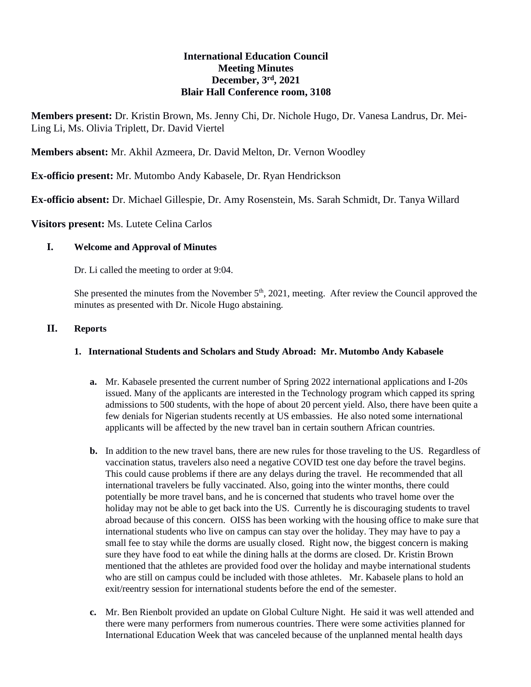# **International Education Council Meeting Minutes December, 3rd , 2021 Blair Hall Conference room, 3108**

**Members present:** Dr. Kristin Brown, Ms. Jenny Chi, Dr. Nichole Hugo, Dr. Vanesa Landrus, Dr. Mei-Ling Li, Ms. Olivia Triplett, Dr. David Viertel

**Members absent:** Mr. Akhil Azmeera, Dr. David Melton, Dr. Vernon Woodley

**Ex-officio present:** Mr. Mutombo Andy Kabasele, Dr. Ryan Hendrickson

**Ex-officio absent:** Dr. Michael Gillespie, Dr. Amy Rosenstein, Ms. Sarah Schmidt, Dr. Tanya Willard

**Visitors present:** Ms. Lutete Celina Carlos

### **I. Welcome and Approval of Minutes**

Dr. Li called the meeting to order at 9:04.

She presented the minutes from the November 5<sup>th</sup>, 2021, meeting. After review the Council approved the minutes as presented with Dr. Nicole Hugo abstaining.

#### **II. Reports**

### **1. International Students and Scholars and Study Abroad: Mr. Mutombo Andy Kabasele**

- **a.** Mr. Kabasele presented the current number of Spring 2022 international applications and I-20s issued. Many of the applicants are interested in the Technology program which capped its spring admissions to 500 students, with the hope of about 20 percent yield. Also, there have been quite a few denials for Nigerian students recently at US embassies. He also noted some international applicants will be affected by the new travel ban in certain southern African countries.
- **b.** In addition to the new travel bans, there are new rules for those traveling to the US. Regardless of vaccination status, travelers also need a negative COVID test one day before the travel begins. This could cause problems if there are any delays during the travel. He recommended that all international travelers be fully vaccinated. Also, going into the winter months, there could potentially be more travel bans, and he is concerned that students who travel home over the holiday may not be able to get back into the US. Currently he is discouraging students to travel abroad because of this concern. OISS has been working with the housing office to make sure that international students who live on campus can stay over the holiday. They may have to pay a small fee to stay while the dorms are usually closed. Right now, the biggest concern is making sure they have food to eat while the dining halls at the dorms are closed. Dr. Kristin Brown mentioned that the athletes are provided food over the holiday and maybe international students who are still on campus could be included with those athletes. Mr. Kabasele plans to hold an exit/reentry session for international students before the end of the semester.
- **c.** Mr. Ben Rienbolt provided an update on Global Culture Night. He said it was well attended and there were many performers from numerous countries. There were some activities planned for International Education Week that was canceled because of the unplanned mental health days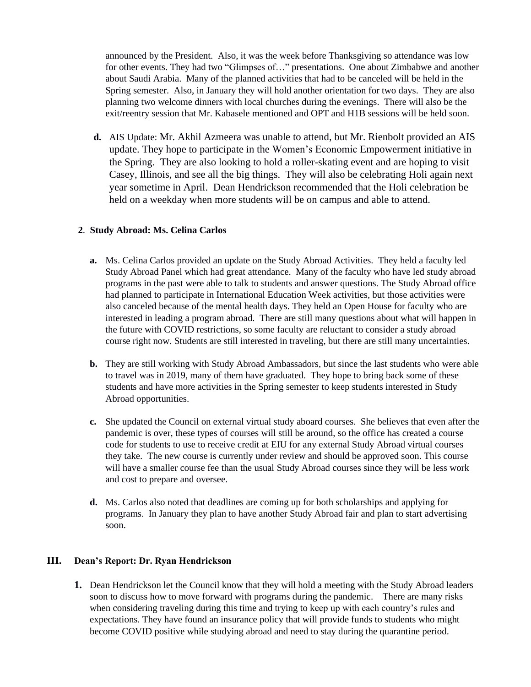announced by the President. Also, it was the week before Thanksgiving so attendance was low for other events. They had two "Glimpses of…" presentations. One about Zimbabwe and another about Saudi Arabia. Many of the planned activities that had to be canceled will be held in the Spring semester. Also, in January they will hold another orientation for two days. They are also planning two welcome dinners with local churches during the evenings. There will also be the exit/reentry session that Mr. Kabasele mentioned and OPT and H1B sessions will be held soon.

**d.** AIS Update: Mr. Akhil Azmeera was unable to attend, but Mr. Rienbolt provided an AIS update. They hope to participate in the Women's Economic Empowerment initiative in the Spring. They are also looking to hold a roller-skating event and are hoping to visit Casey, Illinois, and see all the big things. They will also be celebrating Holi again next year sometime in April. Dean Hendrickson recommended that the Holi celebration be held on a weekday when more students will be on campus and able to attend.

## **2**. **Study Abroad: Ms. Celina Carlos**

- **a.** Ms. Celina Carlos provided an update on the Study Abroad Activities. They held a faculty led Study Abroad Panel which had great attendance. Many of the faculty who have led study abroad programs in the past were able to talk to students and answer questions. The Study Abroad office had planned to participate in International Education Week activities, but those activities were also canceled because of the mental health days. They held an Open House for faculty who are interested in leading a program abroad. There are still many questions about what will happen in the future with COVID restrictions, so some faculty are reluctant to consider a study abroad course right now. Students are still interested in traveling, but there are still many uncertainties.
- **b.** They are still working with Study Abroad Ambassadors, but since the last students who were able to travel was in 2019, many of them have graduated. They hope to bring back some of these students and have more activities in the Spring semester to keep students interested in Study Abroad opportunities.
- **c.** She updated the Council on external virtual study aboard courses. She believes that even after the pandemic is over, these types of courses will still be around, so the office has created a course code for students to use to receive credit at EIU for any external Study Abroad virtual courses they take. The new course is currently under review and should be approved soon. This course will have a smaller course fee than the usual Study Abroad courses since they will be less work and cost to prepare and oversee.
- **d.** Ms. Carlos also noted that deadlines are coming up for both scholarships and applying for programs. In January they plan to have another Study Abroad fair and plan to start advertising soon.

## **III. Dean's Report: Dr. Ryan Hendrickson**

**1.** Dean Hendrickson let the Council know that they will hold a meeting with the Study Abroad leaders soon to discuss how to move forward with programs during the pandemic. There are many risks when considering traveling during this time and trying to keep up with each country's rules and expectations. They have found an insurance policy that will provide funds to students who might become COVID positive while studying abroad and need to stay during the quarantine period.